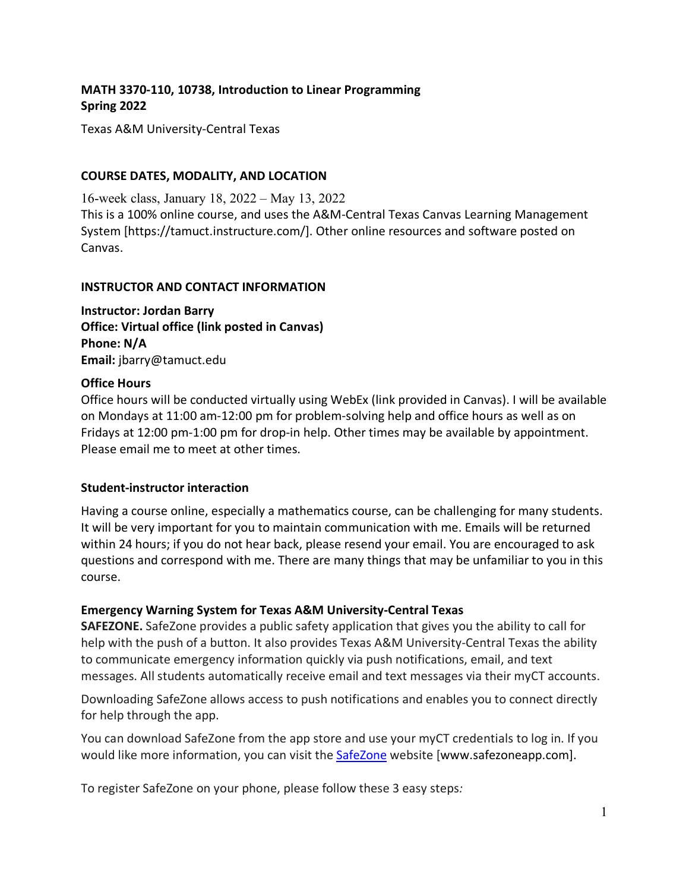## **MATH 3370-110, 10738, Introduction to Linear Programming Spring 2022**

Texas A&M University-Central Texas

### **COURSE DATES, MODALITY, AND LOCATION**

16-week class, January 18, 2022 – May 13, 2022 This is a 100% online course, and uses the A&M-Central Texas Canvas Learning Management System [https://tamuct.instructure.com/]. Other online resources and software posted on Canvas.

#### **INSTRUCTOR AND CONTACT INFORMATION**

**Instructor: Jordan Barry Office: Virtual office (link posted in Canvas) Phone: N/A Email:** jbarry@tamuct.edu

### **Office Hours**

Office hours will be conducted virtually using WebEx (link provided in Canvas). I will be available on Mondays at 11:00 am-12:00 pm for problem-solving help and office hours as well as on Fridays at 12:00 pm-1:00 pm for drop-in help. Other times may be available by appointment. Please email me to meet at other times.

#### **Student-instructor interaction**

Having a course online, especially a mathematics course, can be challenging for many students. It will be very important for you to maintain communication with me. Emails will be returned within 24 hours; if you do not hear back, please resend your email. You are encouraged to ask questions and correspond with me. There are many things that may be unfamiliar to you in this course.

## **Emergency Warning System for Texas A&M University-Central Texas**

**SAFEZONE.** SafeZone provides a public safety application that gives you the ability to call for help with the push of a button. It also provides Texas A&M University-Central Texas the ability to communicate emergency information quickly via push notifications, email, and text messages. All students automatically receive email and text messages via their myCT accounts.

Downloading SafeZone allows access to push notifications and enables you to connect directly for help through the app.

You can download SafeZone from the app store and use your myCT credentials to log in. If you would like more information, you can visit the [SafeZone](http://www.safezoneapp.com/) website [www.safezoneapp.com].

To register SafeZone on your phone, please follow these 3 easy steps*:*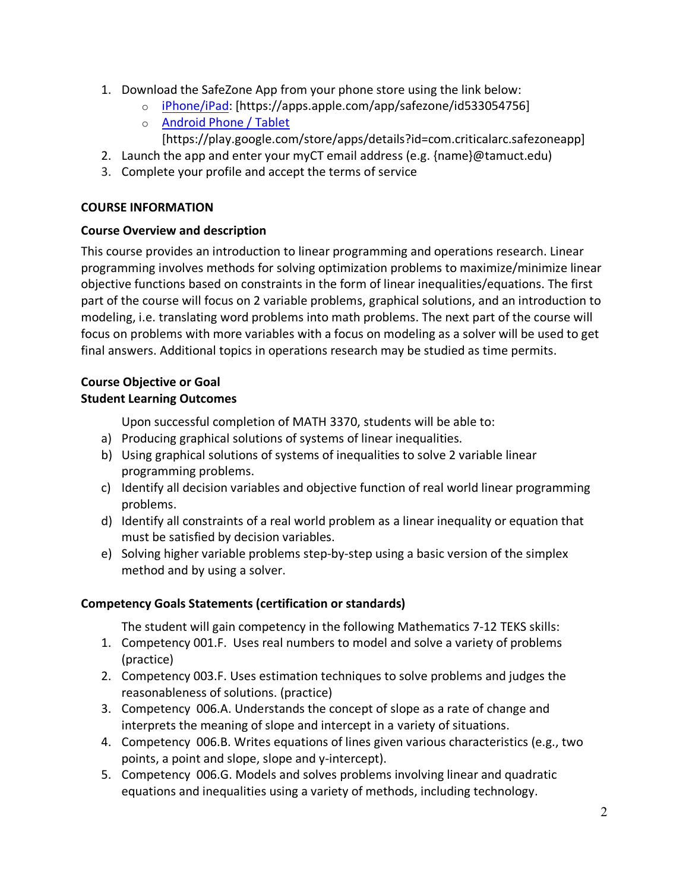- 1. Download the SafeZone App from your phone store using the link below:
	- o [iPhone/iPad:](https://apps.apple.com/app/safezone/id533054756) [https://apps.apple.com/app/safezone/id533054756]
	- o [Android Phone / Tablet](https://play.google.com/store/apps/details?id=com.criticalarc.safezoneapp)
		- [https://play.google.com/store/apps/details?id=com.criticalarc.safezoneapp]
- 2. Launch the app and enter your myCT email address (e.g. {name}@tamuct.edu)
- 3. Complete your profile and accept the terms of service

# **COURSE INFORMATION**

# **Course Overview and description**

This course provides an introduction to linear programming and operations research. Linear programming involves methods for solving optimization problems to maximize/minimize linear objective functions based on constraints in the form of linear inequalities/equations. The first part of the course will focus on 2 variable problems, graphical solutions, and an introduction to modeling, i.e. translating word problems into math problems. The next part of the course will focus on problems with more variables with a focus on modeling as a solver will be used to get final answers. Additional topics in operations research may be studied as time permits.

## **Course Objective or Goal Student Learning Outcomes**

Upon successful completion of MATH 3370, students will be able to:

- a) Producing graphical solutions of systems of linear inequalities.
- b) Using graphical solutions of systems of inequalities to solve 2 variable linear programming problems.
- c) Identify all decision variables and objective function of real world linear programming problems.
- d) Identify all constraints of a real world problem as a linear inequality or equation that must be satisfied by decision variables.
- e) Solving higher variable problems step-by-step using a basic version of the simplex method and by using a solver.

# **Competency Goals Statements (certification or standards)**

The student will gain competency in the following Mathematics 7-12 TEKS skills:

- 1. Competency 001.F. Uses real numbers to model and solve a variety of problems (practice)
- 2. Competency 003.F. Uses estimation techniques to solve problems and judges the reasonableness of solutions. (practice)
- 3. Competency 006.A. Understands the concept of slope as a rate of change and interprets the meaning of slope and intercept in a variety of situations.
- 4. Competency 006.B. Writes equations of lines given various characteristics (e.g., two points, a point and slope, slope and y-intercept).
- 5. Competency 006.G. Models and solves problems involving linear and quadratic equations and inequalities using a variety of methods, including technology.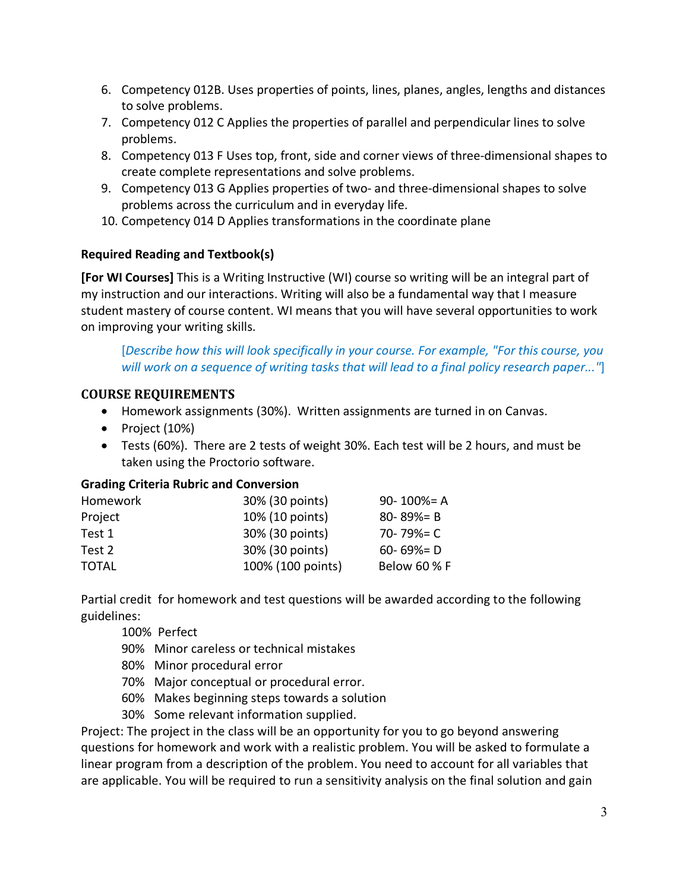- 6. Competency 012B. Uses properties of points, lines, planes, angles, lengths and distances to solve problems.
- 7. Competency 012 C Applies the properties of parallel and perpendicular lines to solve problems.
- 8. Competency 013 F Uses top, front, side and corner views of three-dimensional shapes to create complete representations and solve problems.
- 9. Competency 013 G Applies properties of two- and three-dimensional shapes to solve problems across the curriculum and in everyday life.
- 10. Competency 014 D Applies transformations in the coordinate plane

# **Required Reading and Textbook(s)**

**[For WI Courses]** This is a Writing Instructive (WI) course so writing will be an integral part of my instruction and our interactions. Writing will also be a fundamental way that I measure student mastery of course content. WI means that you will have several opportunities to work on improving your writing skills.

[*Describe how this will look specifically in your course. For example, "For this course, you will work on a sequence of writing tasks that will lead to a final policy research paper..."*]

# **COURSE REQUIREMENTS**

- Homework assignments (30%). Written assignments are turned in on Canvas.
- Project (10%)
- Tests (60%). There are 2 tests of weight 30%. Each test will be 2 hours, and must be taken using the Proctorio software.

## **Grading Criteria Rubric and Conversion**

| Homework | 30% (30 points)   | $90 - 100\% = A$ |
|----------|-------------------|------------------|
| Project  | 10% (10 points)   | $80 - 89\% = B$  |
| Test 1   | 30% (30 points)   | 70-79%= $C$      |
| Test 2   | 30% (30 points)   | $60 - 69\% = D$  |
| TOTAL    | 100% (100 points) | Below 60 % F     |

Partial credit for homework and test questions will be awarded according to the following guidelines:

100% Perfect

- 90% Minor careless or technical mistakes
- 80% Minor procedural error
- 70% Major conceptual or procedural error.
- 60% Makes beginning steps towards a solution
- 30% Some relevant information supplied.

Project: The project in the class will be an opportunity for you to go beyond answering questions for homework and work with a realistic problem. You will be asked to formulate a linear program from a description of the problem. You need to account for all variables that are applicable. You will be required to run a sensitivity analysis on the final solution and gain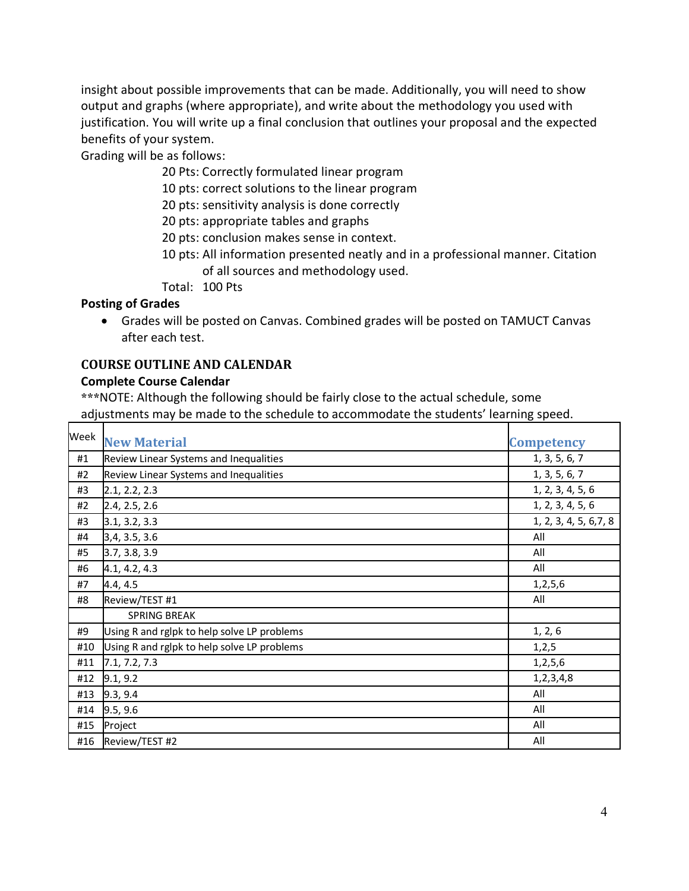insight about possible improvements that can be made. Additionally, you will need to show output and graphs (where appropriate), and write about the methodology you used with justification. You will write up a final conclusion that outlines your proposal and the expected benefits of your system.

Grading will be as follows:

- 20 Pts: Correctly formulated linear program
- 10 pts: correct solutions to the linear program
- 20 pts: sensitivity analysis is done correctly
- 20 pts: appropriate tables and graphs
- 20 pts: conclusion makes sense in context.
- 10 pts: All information presented neatly and in a professional manner. Citation of all sources and methodology used.
- Total: 100 Pts

### **Posting of Grades**

• Grades will be posted on Canvas. Combined grades will be posted on TAMUCT Canvas after each test.

## **COURSE OUTLINE AND CALENDAR**

#### **Complete Course Calendar**

**\*\*\***NOTE: Although the following should be fairly close to the actual schedule, some adjustments may be made to the schedule to accommodate the students' learning speed.

| Week | <b>New Material</b>                         | <b>Competency</b>      |
|------|---------------------------------------------|------------------------|
| #1   | Review Linear Systems and Inequalities      | 1, 3, 5, 6, 7          |
| #2   | Review Linear Systems and Inequalities      | 1, 3, 5, 6, 7          |
| #3   | 2.1, 2.2, 2.3                               | 1, 2, 3, 4, 5, 6       |
| #2   | 2.4, 2.5, 2.6                               | 1, 2, 3, 4, 5, 6       |
| #3   | 3.1, 3.2, 3.3                               | 1, 2, 3, 4, 5, 6, 7, 8 |
| #4   | 3,4, 3.5, 3.6                               | All                    |
| #5   | 3.7, 3.8, 3.9                               | All                    |
| #6   | 4.1, 4.2, 4.3                               | All                    |
| #7   | 4.4, 4.5                                    | 1, 2, 5, 6             |
| #8   | Review/TEST #1                              | All                    |
|      | SPRING BREAK                                |                        |
| #9   | Using R and rglpk to help solve LP problems | 1, 2, 6                |
| #10  | Using R and rglpk to help solve LP problems | 1, 2, 5                |
| #11  | 7.1, 7.2, 7.3                               | 1, 2, 5, 6             |
| #12  | 9.1, 9.2                                    | 1,2,3,4,8              |
| #13  | 9.3, 9.4                                    | All                    |
| #14  | 9.5, 9.6                                    | All                    |
| #15  | Project                                     | All                    |
| #16  | Review/TEST #2                              | All                    |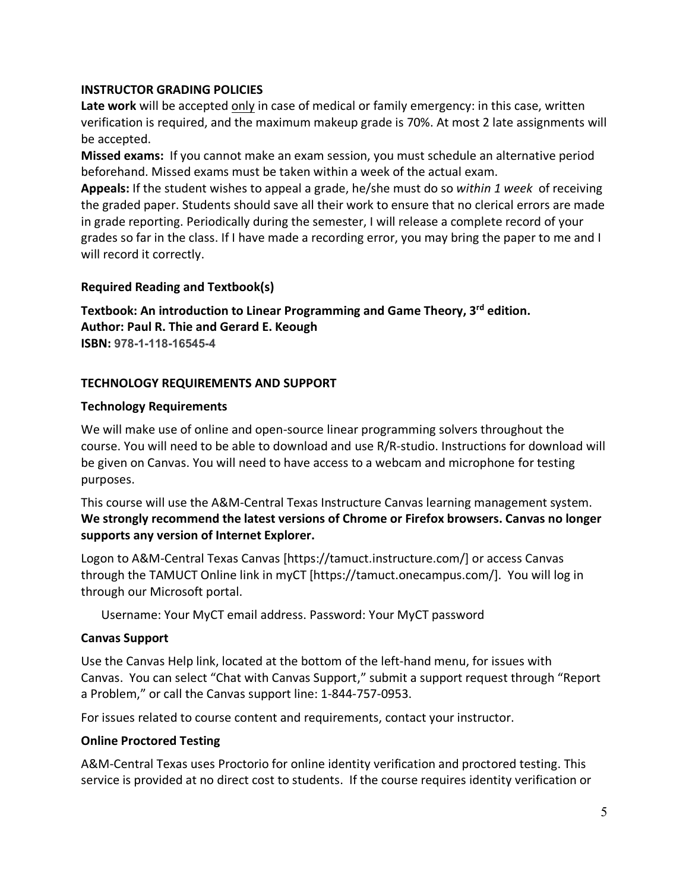### **INSTRUCTOR GRADING POLICIES**

**Late work** will be accepted only in case of medical or family emergency: in this case, written verification is required, and the maximum makeup grade is 70%. At most 2 late assignments will be accepted.

**Missed exams:** If you cannot make an exam session, you must schedule an alternative period beforehand. Missed exams must be taken within a week of the actual exam.

**Appeals:** If the student wishes to appeal a grade, he/she must do so *within 1 week* of receiving the graded paper. Students should save all their work to ensure that no clerical errors are made in grade reporting. Periodically during the semester, I will release a complete record of your grades so far in the class. If I have made a recording error, you may bring the paper to me and I will record it correctly.

## **Required Reading and Textbook(s)**

**Textbook: An introduction to Linear Programming and Game Theory, 3rd edition. Author: Paul R. Thie and Gerard E. Keough ISBN: 978-1-118-16545-4**

### **TECHNOLOGY REQUIREMENTS AND SUPPORT**

#### **Technology Requirements**

We will make use of online and open-source linear programming solvers throughout the course. You will need to be able to download and use R/R-studio. Instructions for download will be given on Canvas. You will need to have access to a webcam and microphone for testing purposes.

This course will use the A&M-Central Texas Instructure Canvas learning management system. **We strongly recommend the latest versions of Chrome or Firefox browsers. Canvas no longer supports any version of Internet Explorer.**

Logon to A&M-Central Texas Canvas [https://tamuct.instructure.com/] or access Canvas through the TAMUCT Online link in myCT [https://tamuct.onecampus.com/]. You will log in through our Microsoft portal.

Username: Your MyCT email address. Password: Your MyCT password

#### **Canvas Support**

Use the Canvas Help link, located at the bottom of the left-hand menu, for issues with Canvas. You can select "Chat with Canvas Support," submit a support request through "Report a Problem," or call the Canvas support line: 1-844-757-0953.

For issues related to course content and requirements, contact your instructor.

#### **Online Proctored Testing**

A&M-Central Texas uses Proctorio for online identity verification and proctored testing. This service is provided at no direct cost to students. If the course requires identity verification or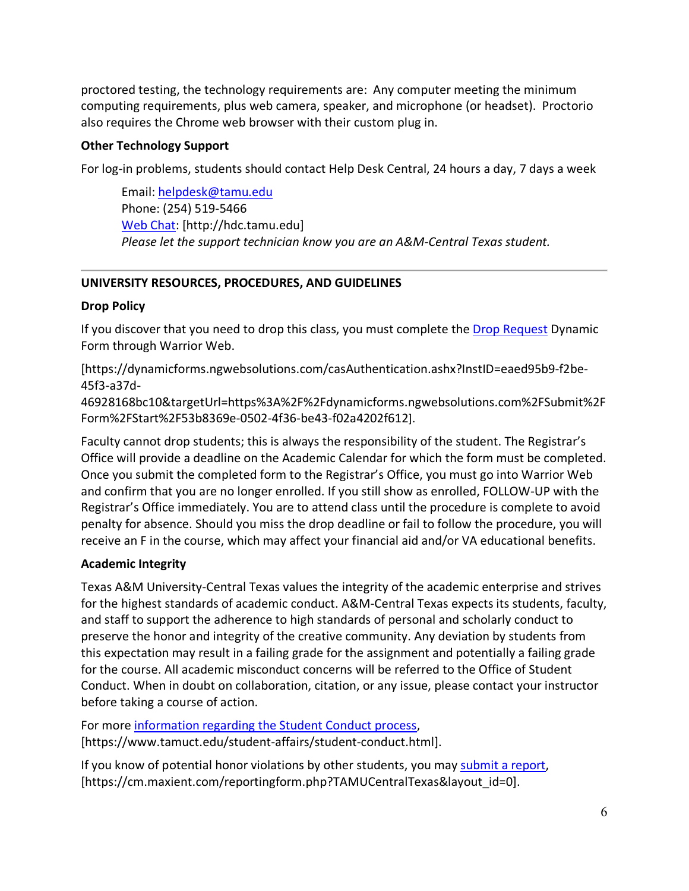proctored testing, the technology requirements are: Any computer meeting the minimum computing requirements, plus web camera, speaker, and microphone (or headset). Proctorio also requires the Chrome web browser with their custom plug in.

## **Other Technology Support**

For log-in problems, students should contact Help Desk Central, 24 hours a day, 7 days a week

Email[: helpdesk@tamu.edu](mailto:helpdesk@tamu.edu) Phone: (254) 519-5466 [Web Chat:](http://hdc.tamu.edu/) [http://hdc.tamu.edu] *Please let the support technician know you are an A&M-Central Texas student.*

# **UNIVERSITY RESOURCES, PROCEDURES, AND GUIDELINES**

# **Drop Policy**

If you discover that you need to drop this class, you must complete the [Drop Request](https://dynamicforms.ngwebsolutions.com/casAuthentication.ashx?InstID=eaed95b9-f2be-45f3-a37d-46928168bc10&targetUrl=https%3A%2F%2Fdynamicforms.ngwebsolutions.com%2FSubmit%2FForm%2FStart%2F53b8369e-0502-4f36-be43-f02a4202f612) Dynamic Form through Warrior Web.

[https://dynamicforms.ngwebsolutions.com/casAuthentication.ashx?InstID=eaed95b9-f2be-45f3-a37d-

46928168bc10&targetUrl=https%3A%2F%2Fdynamicforms.ngwebsolutions.com%2FSubmit%2F Form%2FStart%2F53b8369e-0502-4f36-be43-f02a4202f612].

Faculty cannot drop students; this is always the responsibility of the student. The Registrar's Office will provide a deadline on the Academic Calendar for which the form must be completed. Once you submit the completed form to the Registrar's Office, you must go into Warrior Web and confirm that you are no longer enrolled. If you still show as enrolled, FOLLOW-UP with the Registrar's Office immediately. You are to attend class until the procedure is complete to avoid penalty for absence. Should you miss the drop deadline or fail to follow the procedure, you will receive an F in the course, which may affect your financial aid and/or VA educational benefits.

# **Academic Integrity**

Texas A&M University-Central Texas values the integrity of the academic enterprise and strives for the highest standards of academic conduct. A&M-Central Texas expects its students, faculty, and staff to support the adherence to high standards of personal and scholarly conduct to preserve the honor and integrity of the creative community. Any deviation by students from this expectation may result in a failing grade for the assignment and potentially a failing grade for the course. All academic misconduct concerns will be referred to the Office of Student Conduct. When in doubt on collaboration, citation, or any issue, please contact your instructor before taking a course of action.

For more [information](https://nam04.safelinks.protection.outlook.com/?url=https%3A%2F%2Fwww.tamuct.edu%2Fstudent-affairs%2Fstudent-conduct.html&data=04%7C01%7Clisa.bunkowski%40tamuct.edu%7Ccfb6e486f24745f53e1a08d910055cb2%7C9eed4e3000f744849ff193ad8005acec%7C0%7C0%7C637558437485252160%7CUnknown%7CTWFpbGZsb3d8eyJWIjoiMC4wLjAwMDAiLCJQIjoiV2luMzIiLCJBTiI6Ik1haWwiLCJXVCI6Mn0%3D%7C1000&sdata=yjftDEVHvLX%2FhM%2FcFU0B99krV1RgEWR%2BJ%2BhvtoR6TYk%3D&reserved=0) regarding the Student Conduct process, [https://www.tamuct.edu/student-affairs/student-conduct.html].

If you know of potential honor violations by other students, you may [submit](https://nam04.safelinks.protection.outlook.com/?url=https%3A%2F%2Fcm.maxient.com%2Freportingform.php%3FTAMUCentralTexas%26layout_id%3D0&data=04%7C01%7Clisa.bunkowski%40tamuct.edu%7Ccfb6e486f24745f53e1a08d910055cb2%7C9eed4e3000f744849ff193ad8005acec%7C0%7C0%7C637558437485262157%7CUnknown%7CTWFpbGZsb3d8eyJWIjoiMC4wLjAwMDAiLCJQIjoiV2luMzIiLCJBTiI6Ik1haWwiLCJXVCI6Mn0%3D%7C1000&sdata=CXGkOa6uPDPX1IMZ87z3aZDq2n91xfHKu4MMS43Ejjk%3D&reserved=0) a report, [https://cm.maxient.com/reportingform.php?TAMUCentralTexas&layout\_id=0].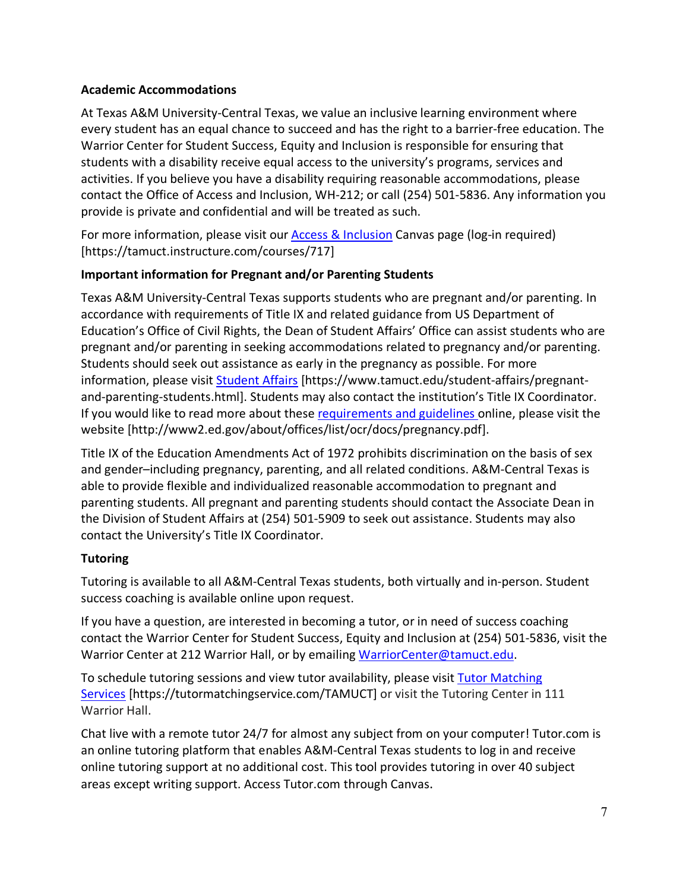## **Academic Accommodations**

At Texas A&M University-Central Texas, we value an inclusive learning environment where every student has an equal chance to succeed and has the right to a barrier-free education. The Warrior Center for Student Success, Equity and Inclusion is responsible for ensuring that students with a disability receive equal access to the university's programs, services and activities. If you believe you have a disability requiring reasonable accommodations, please contact the Office of Access and Inclusion, WH-212; or call (254) 501-5836. Any information you provide is private and confidential and will be treated as such.

For more information, please visit our [Access & Inclusion](https://tamuct.instructure.com/courses/717) Canvas page (log-in required) [https://tamuct.instructure.com/courses/717]

## **Important information for Pregnant and/or Parenting Students**

Texas A&M University-Central Texas supports students who are pregnant and/or parenting. In accordance with requirements of Title IX and related guidance from US Department of Education's Office of Civil Rights, the Dean of Student Affairs' Office can assist students who are pregnant and/or parenting in seeking accommodations related to pregnancy and/or parenting. Students should seek out assistance as early in the pregnancy as possible. For more information, please visit [Student Affairs](https://www.tamuct.edu/student-affairs/pregnant-and-parenting-students.html) [https://www.tamuct.edu/student-affairs/pregnantand-parenting-students.html]. Students may also contact the institution's Title IX Coordinator. If you would like to read more about these [requirements and guidelines](http://www2.ed.gov/about/offices/list/ocr/docs/pregnancy.pdf) online, please visit the website [http://www2.ed.gov/about/offices/list/ocr/docs/pregnancy.pdf].

Title IX of the Education Amendments Act of 1972 prohibits discrimination on the basis of sex and gender–including pregnancy, parenting, and all related conditions. A&M-Central Texas is able to provide flexible and individualized reasonable accommodation to pregnant and parenting students. All pregnant and parenting students should contact the Associate Dean in the Division of Student Affairs at (254) 501-5909 to seek out assistance. Students may also contact the University's Title IX Coordinator.

## **Tutoring**

Tutoring is available to all A&M-Central Texas students, both virtually and in-person. Student success coaching is available online upon request.

If you have a question, are interested in becoming a tutor, or in need of success coaching contact the Warrior Center for Student Success, Equity and Inclusion at (254) 501-5836, visit the Warrior Center at 212 Warrior Hall, or by emailing [WarriorCenter@tamuct.edu.](mailto:WarriorCenter@tamuct.edu)

To schedule tutoring sessions and view tutor availability, please visit Tutor [Matching](https://tutormatchingservice.com/TAMUCT) [Services](https://tutormatchingservice.com/TAMUCT) [https://tutormatchingservice.com/TAMUCT] or visit the Tutoring Center in 111 Warrior Hall.

Chat live with a remote tutor 24/7 for almost any subject from on your computer! Tutor.com is an online tutoring platform that enables A&M-Central Texas students to log in and receive online tutoring support at no additional cost. This tool provides tutoring in over 40 subject areas except writing support. Access Tutor.com through Canvas.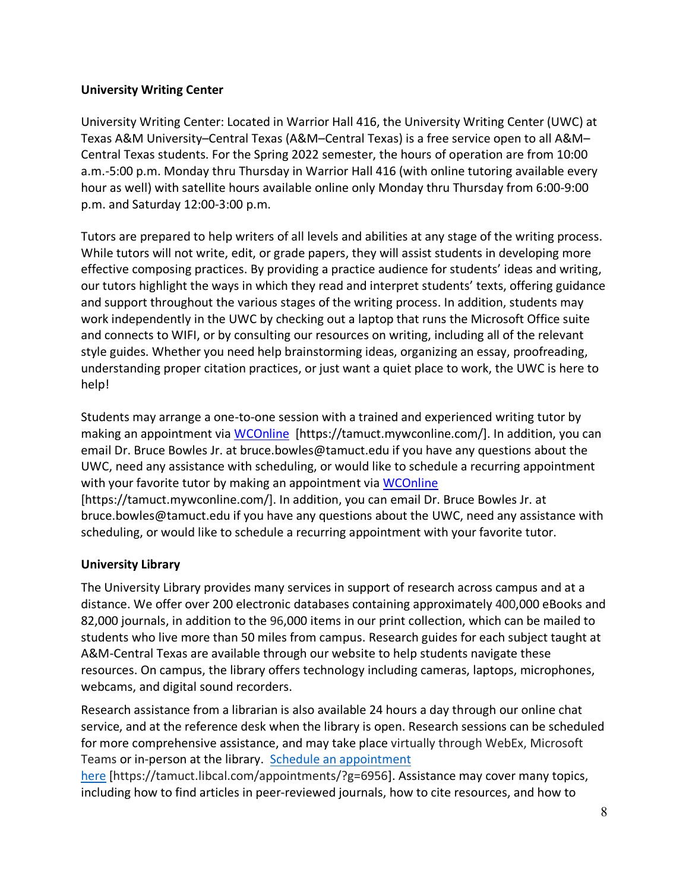### **University Writing Center**

University Writing Center: Located in Warrior Hall 416, the University Writing Center (UWC) at Texas A&M University–Central Texas (A&M–Central Texas) is a free service open to all A&M– Central Texas students. For the Spring 2022 semester, the hours of operation are from 10:00 a.m.-5:00 p.m. Monday thru Thursday in Warrior Hall 416 (with online tutoring available every hour as well) with satellite hours available online only Monday thru Thursday from 6:00-9:00 p.m. and Saturday 12:00-3:00 p.m.

Tutors are prepared to help writers of all levels and abilities at any stage of the writing process. While tutors will not write, edit, or grade papers, they will assist students in developing more effective composing practices. By providing a practice audience for students' ideas and writing, our tutors highlight the ways in which they read and interpret students' texts, offering guidance and support throughout the various stages of the writing process. In addition, students may work independently in the UWC by checking out a laptop that runs the Microsoft Office suite and connects to WIFI, or by consulting our resources on writing, including all of the relevant style guides. Whether you need help brainstorming ideas, organizing an essay, proofreading, understanding proper citation practices, or just want a quiet place to work, the UWC is here to help!

Students may arrange a one-to-one session with a trained and experienced writing tutor by making an appointment via [WCOnline](https://tamuct.mywconline.com/) [https://tamuct.mywconline.com/]. In addition, you can email Dr. Bruce Bowles Jr. at bruce.bowles@tamuct.edu if you have any questions about the UWC, need any assistance with scheduling, or would like to schedule a recurring appointment with your favorite tutor by making an appointment via [WCOnline](https://tamuct.mywconline.com/) [https://tamuct.mywconline.com/]. In addition, you can email Dr. Bruce Bowles Jr. at bruce.bowles@tamuct.edu if you have any questions about the UWC, need any assistance with scheduling, or would like to schedule a recurring appointment with your favorite tutor.

## **University Library**

The University Library provides many services in support of research across campus and at a distance. We offer over 200 electronic databases containing approximately 400,000 eBooks and 82,000 journals, in addition to the 96,000 items in our print collection, which can be mailed to students who live more than 50 miles from campus. Research guides for each subject taught at A&M-Central Texas are available through our website to help students navigate these resources. On campus, the library offers technology including cameras, laptops, microphones, webcams, and digital sound recorders.

Research assistance from a librarian is also available 24 hours a day through our online chat service, and at the reference desk when the library is open. Research sessions can be scheduled for more comprehensive assistance, and may take place virtually through WebEx, Microsoft Teams or in-person at the library. Schedule an [appointment](https://nam04.safelinks.protection.outlook.com/?url=https%3A%2F%2Ftamuct.libcal.com%2Fappointments%2F%3Fg%3D6956&data=04%7C01%7Clisa.bunkowski%40tamuct.edu%7Cde2c07d9f5804f09518008d9ab7ba6ff%7C9eed4e3000f744849ff193ad8005acec%7C0%7C0%7C637729369835011558%7CUnknown%7CTWFpbGZsb3d8eyJWIjoiMC4wLjAwMDAiLCJQIjoiV2luMzIiLCJBTiI6Ik1haWwiLCJXVCI6Mn0%3D%7C3000&sdata=KhtjgRSAw9aq%2FoBsB6wyu8b7PSuGN5EGPypzr3Ty2No%3D&reserved=0)

[here](https://nam04.safelinks.protection.outlook.com/?url=https%3A%2F%2Ftamuct.libcal.com%2Fappointments%2F%3Fg%3D6956&data=04%7C01%7Clisa.bunkowski%40tamuct.edu%7Cde2c07d9f5804f09518008d9ab7ba6ff%7C9eed4e3000f744849ff193ad8005acec%7C0%7C0%7C637729369835011558%7CUnknown%7CTWFpbGZsb3d8eyJWIjoiMC4wLjAwMDAiLCJQIjoiV2luMzIiLCJBTiI6Ik1haWwiLCJXVCI6Mn0%3D%7C3000&sdata=KhtjgRSAw9aq%2FoBsB6wyu8b7PSuGN5EGPypzr3Ty2No%3D&reserved=0) [https://tamuct.libcal.com/appointments/?g=6956]. Assistance may cover many topics, including how to find articles in peer-reviewed journals, how to cite resources, and how to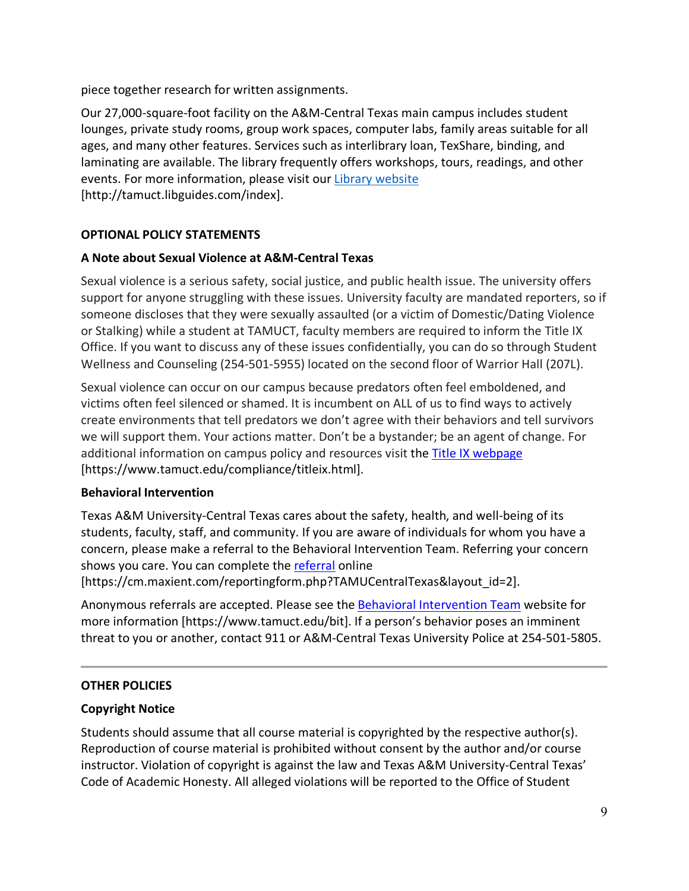piece together research for written assignments.

Our 27,000-square-foot facility on the A&M-Central Texas main campus includes student lounges, private study rooms, group work spaces, computer labs, family areas suitable for all ages, and many other features. Services such as interlibrary loan, TexShare, binding, and laminating are available. The library frequently offers workshops, tours, readings, and other events. For more information, please visit our Library [website](https://nam04.safelinks.protection.outlook.com/?url=https%3A%2F%2Ftamuct.libguides.com%2Findex&data=04%7C01%7Clisa.bunkowski%40tamuct.edu%7C7d8489e8839a4915335f08d916f067f2%7C9eed4e3000f744849ff193ad8005acec%7C0%7C0%7C637566044056484222%7CUnknown%7CTWFpbGZsb3d8eyJWIjoiMC4wLjAwMDAiLCJQIjoiV2luMzIiLCJBTiI6Ik1haWwiLCJXVCI6Mn0%3D%7C1000&sdata=2R755V6rcIyedGrd4Os5rkgn1PvhHKU3kUV1vBKiHFo%3D&reserved=0) [http://tamuct.libguides.com/index].

# **OPTIONAL POLICY STATEMENTS**

## **A Note about Sexual Violence at A&M-Central Texas**

Sexual violence is a serious safety, social justice, and public health issue. The university offers support for anyone struggling with these issues. University faculty are mandated reporters, so if someone discloses that they were sexually assaulted (or a victim of Domestic/Dating Violence or Stalking) while a student at TAMUCT, faculty members are required to inform the Title IX Office. If you want to discuss any of these issues confidentially, you can do so through Student Wellness and Counseling (254-501-5955) located on the second floor of Warrior Hall (207L).

Sexual violence can occur on our campus because predators often feel emboldened, and victims often feel silenced or shamed. It is incumbent on ALL of us to find ways to actively create environments that tell predators we don't agree with their behaviors and tell survivors we will support them. Your actions matter. Don't be a bystander; be an agent of change. For additional information on campus policy and resources visit the [Title IX webpage](https://www.tamuct.edu/compliance/titleix.html) [\[https://www.tamuct.edu/compliance/titleix.html\]](https://www.tamuct.edu/compliance/titleix.html).

#### **Behavioral Intervention**

Texas A&M University-Central Texas cares about the safety, health, and well-being of its students, faculty, staff, and community. If you are aware of individuals for whom you have a concern, please make a referral to the Behavioral Intervention Team. Referring your concern shows you care. You can complete the [referral](https://cm.maxient.com/reportingform.php?TAMUCentralTexas&layout_id=2) online

[https://cm.maxient.com/reportingform.php?TAMUCentralTexas&layout\_id=2].

Anonymous referrals are accepted. Please see the [Behavioral Intervention Team](https://www.tamuct.edu/bit) website for more information [https://www.tamuct.edu/bit]. If a person's behavior poses an imminent threat to you or another, contact 911 or A&M-Central Texas University Police at 254-501-5805.

#### **OTHER POLICIES**

## **Copyright Notice**

Students should assume that all course material is copyrighted by the respective author(s). Reproduction of course material is prohibited without consent by the author and/or course instructor. Violation of copyright is against the law and Texas A&M University-Central Texas' Code of Academic Honesty. All alleged violations will be reported to the Office of Student